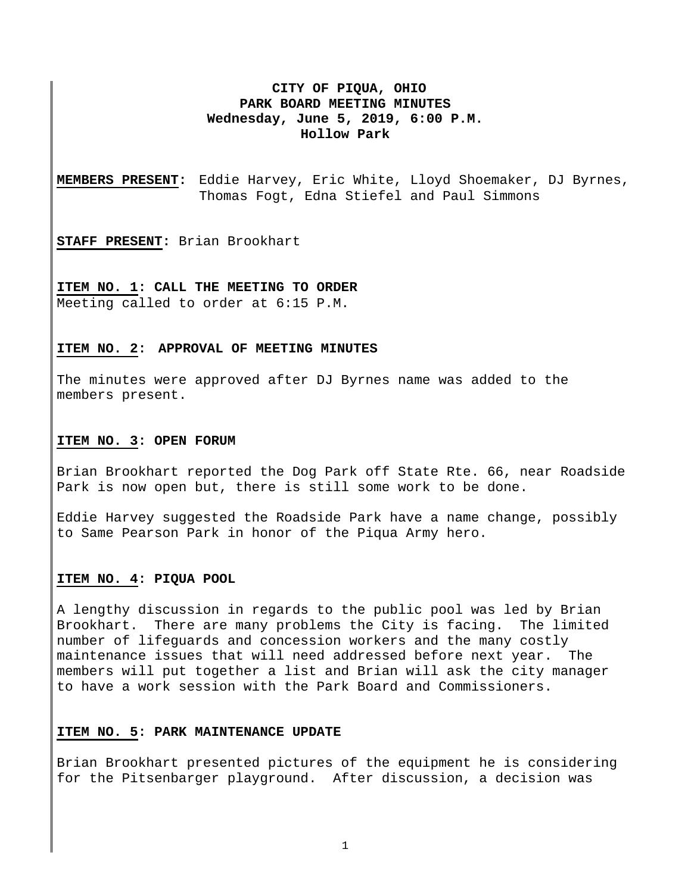# **CITY OF PIQUA, OHIO PARK BOARD MEETING MINUTES Wednesday, June 5, 2019, 6:00 P.M. Hollow Park**

**MEMBERS PRESENT:** Eddie Harvey, Eric White, Lloyd Shoemaker, DJ Byrnes, Thomas Fogt, Edna Stiefel and Paul Simmons

**STAFF PRESENT:** Brian Brookhart

**ITEM NO. 1: CALL THE MEETING TO ORDER**  Meeting called to order at 6:15 P.M.

#### **ITEM NO. 2: APPROVAL OF MEETING MINUTES**

The minutes were approved after DJ Byrnes name was added to the members present.

#### **ITEM NO. 3: OPEN FORUM**

Brian Brookhart reported the Dog Park off State Rte. 66, near Roadside Park is now open but, there is still some work to be done.

Eddie Harvey suggested the Roadside Park have a name change, possibly to Same Pearson Park in honor of the Piqua Army hero.

# **ITEM NO. 4: PIQUA POOL**

A lengthy discussion in regards to the public pool was led by Brian Brookhart. There are many problems the City is facing. The limited number of lifeguards and concession workers and the many costly maintenance issues that will need addressed before next year. The members will put together a list and Brian will ask the city manager to have a work session with the Park Board and Commissioners.

## **ITEM NO. 5: PARK MAINTENANCE UPDATE**

Brian Brookhart presented pictures of the equipment he is considering for the Pitsenbarger playground. After discussion, a decision was